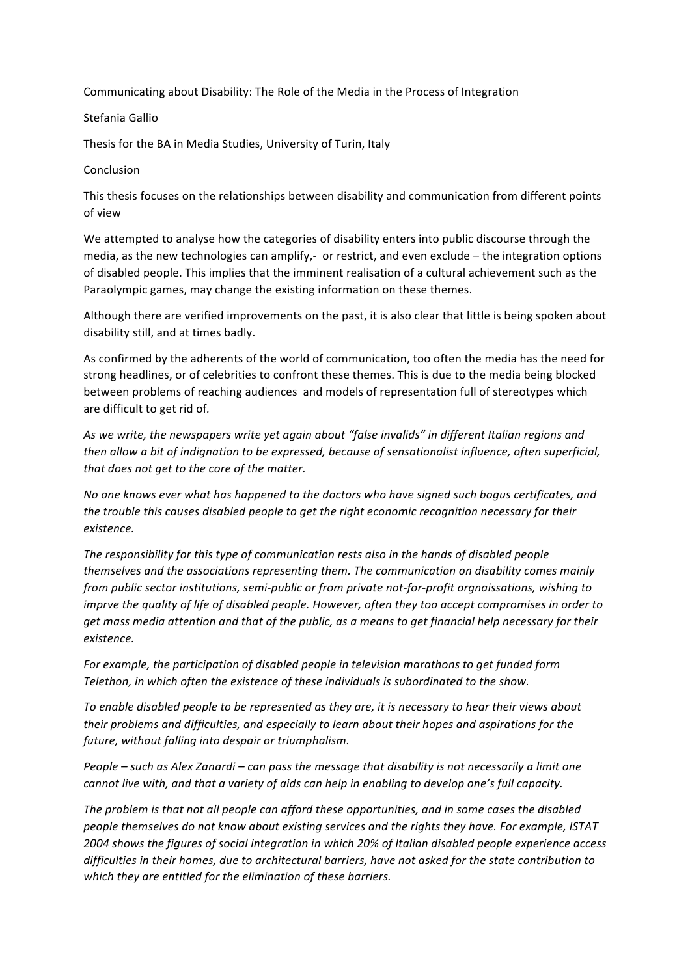Communicating about Disability: The Role of the Media in the Process of Integration

## Stefania Gallio

Thesis for the BA in Media Studies, University of Turin, Italy

Conclusion

This thesis focuses on the relationships between disability and communication from different points of view

We attempted to analyse how the categories of disability enters into public discourse through the media, as the new technologies can amplify,- or restrict, and even exclude – the integration options of disabled people. This implies that the imminent realisation of a cultural achievement such as the Paraolympic games, may change the existing information on these themes.

Although there are verified improvements on the past, it is also clear that little is being spoken about disability still, and at times badly.

As confirmed by the adherents of the world of communication, too often the media has the need for strong headlines, or of celebrities to confront these themes. This is due to the media being blocked between problems of reaching audiences and models of representation full of stereotypes which are difficult to get rid of.

As we write, the newspapers write yet again about "false invalids" in different Italian regions and then allow a bit of indignation to be expressed, because of sensationalist influence, often superficial, that does not get to the core of the matter.

No one knows ever what has happened to the doctors who have signed such bogus certificates, and the trouble this causes disabled people to get the right economic *recognition necessary for their existence.*

The responsibility for this type of communication rests also in the hands of disabled people" themselves and the associations representing them. The communication on disability comes mainly *from public sector institutions, semi-public or from private not-for-profit orgnaissations, wishing to imprve the quality of life of disabled people. However, often they too accept compromises in order to* get mass media attention and that of the public, as a means to get financial help necessary for their *existence.*

For example, the participation of disabled people in television marathons to get funded form Telethon, in which often the existence of these individuals is subordinated to the show.

To enable disabled people to be represented as they are, it is necessary to hear their views about their problems and difficulties, and especially to learn about their hopes and aspirations for the future, without falling into despair or triumphalism.

*People – such as Alex Zanardi – can pass the message that disability is not necessarily a limit one* cannot live with, and that a variety of aids can help in enabling to develop one's full capacity.

The problem is that not all people can afford these opportunities, and in some cases the disabled people themselves do not know about existing services and the rights they have. For example, ISTAT 2004 shows the figures of social integration in which 20% of Italian disabled people experience access difficulties in their homes, due to architectural barriers, have not asked for the state contribution to which they are entitled for the elimination of these barriers.